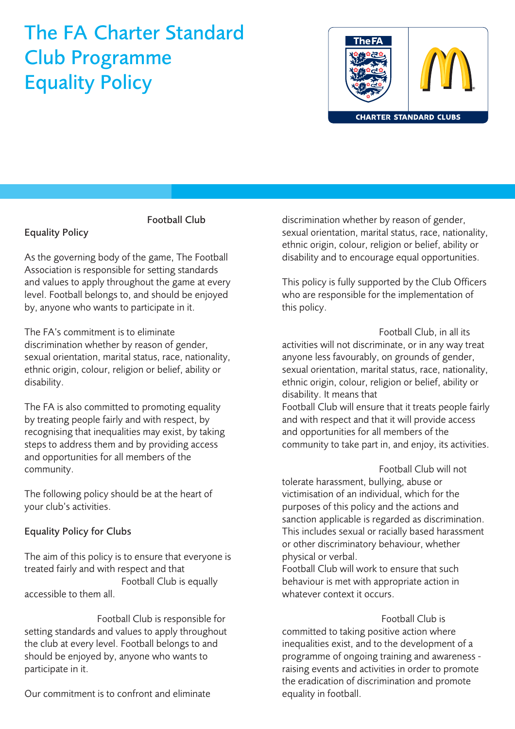## The FA Charter Standard Club Programme Equality Policy



#### Football Club

### Equality Policy

As the governing body of the game, The Football Association is responsible for setting standards and values to apply throughout the game at every level. Football belongs to, and should be enjoyed by, anyone who wants to participate in it.

The FA's commitment is to eliminate discrimination whether by reason of gender, sexual orientation, marital status, race, nationality, ethnic origin, colour, religion or belief, ability or disability.

The FA is also committed to promoting equality by treating people fairly and with respect, by recognising that inequalities may exist, by taking steps to address them and by providing access and opportunities for all members of the community.

The following policy should be at the heart of your club's activities.

#### Equality Policy for Clubs

The aim of this policy is to ensure that everyone is treated fairly and with respect and that Football Club is equally accessible to them all.

Football Club is responsible for setting standards and values to apply throughout the club at every level. Football belongs to and should be enjoyed by, anyone who wants to participate in it.

Our commitment is to confront and eliminate

discrimination whether by reason of gender, sexual orientation, marital status, race, nationality, ethnic origin, colour, religion or belief, ability or disability and to encourage equal opportunities.

This policy is fully supported by the Club Officers who are responsible for the implementation of this policy.

Football Club, in all its activities will not discriminate, or in any way treat anyone less favourably, on grounds of gender, sexual orientation, marital status, race, nationality, ethnic origin, colour, religion or belief, ability or disability. It means that Football Club will ensure that it treats people fairly and with respect and that it will provide access and opportunities for all members of the community to take part in, and enjoy, its activities.

Football Club will not tolerate harassment, bullying, abuse or victimisation of an individual, which for the purposes of this policy and the actions and sanction applicable is regarded as discrimination. This includes sexual or racially based harassment or other discriminatory behaviour, whether physical or verbal.

Football Club will work to ensure that such behaviour is met with appropriate action in whatever context it occurs.

Football Club is committed to taking positive action where inequalities exist, and to the development of a programme of ongoing training and awareness raising events and activities in order to promote the eradication of discrimination and promote equality in football.